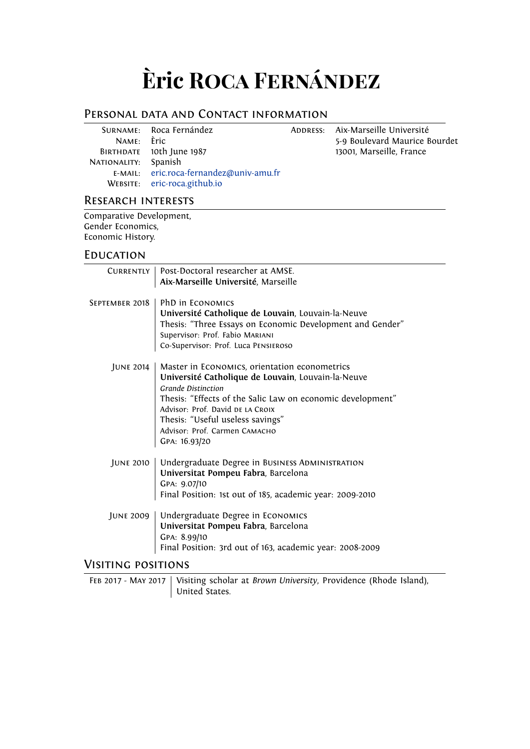# **Èric Roca Fernández**

# Personal data and Contact information

|                      | SURNAME: Roca Fernández                 |
|----------------------|-----------------------------------------|
| NAME: Èric           |                                         |
|                      | BIRTHDATE 10th June 1987                |
| NATIONALITY: Spanish |                                         |
|                      | E-MAIL: eric.roca-fernandez@univ-amu.fr |
|                      | WEBSITE: eric-roca.github.io            |
|                      |                                         |

ADDRESS: Aix-Marseille Université 5-9 Boulevard Maurice Bourdet 13001, Marseille, France

## Research interests

Comparative Development, Gender Economics, Economic History.

## **EDUCATION**

| CURRENTLY          | Post-Doctoral researcher at AMSE.                          |
|--------------------|------------------------------------------------------------|
|                    | Aix-Marseille Université, Marseille                        |
|                    |                                                            |
| SEPTEMBER 2018     | PhD in ECONOMICS                                           |
|                    | Université Catholique de Louvain, Louvain-la-Neuve         |
|                    | Thesis: "Three Essays on Economic Development and Gender"  |
|                    | Supervisor: Prof. Fabio MARIANI                            |
|                    | Co-Supervisor: Prof. Luca PENSIEROSO                       |
|                    |                                                            |
| JUNE 2014          | Master in ECONOMICS, orientation econometrics              |
|                    | Université Catholique de Louvain, Louvain-la-Neuve         |
|                    | <b>Grande Distinction</b>                                  |
|                    | Thesis: "Effects of the Salic Law on economic development" |
|                    | Advisor: Prof. David DE LA CROIX                           |
|                    |                                                            |
|                    | Thesis: "Useful useless savings"                           |
|                    | Advisor: Prof. Carmen CAMACHO                              |
|                    | GPA: 16.93/20                                              |
| JUNE 2010          | Undergraduate Degree in BUSINESS ADMINISTRATION            |
|                    | Universitat Pompeu Fabra, Barcelona                        |
|                    | GPA: 9.07/10                                               |
|                    |                                                            |
|                    | Final Position: 1st out of 185, academic year: 2009-2010   |
|                    | JUNE 2009   Undergraduate Degree in ECONOMICS              |
|                    | Universitat Pompeu Fabra, Barcelona                        |
|                    | GPA: 8.99/10                                               |
|                    | Final Position: 3rd out of 163, academic year: 2008-2009   |
|                    |                                                            |
| Visiting positions |                                                            |

FEB 2017 - MAY 2017 | Visiting scholar at *Brown University*, Providence (Rhode Island), United States.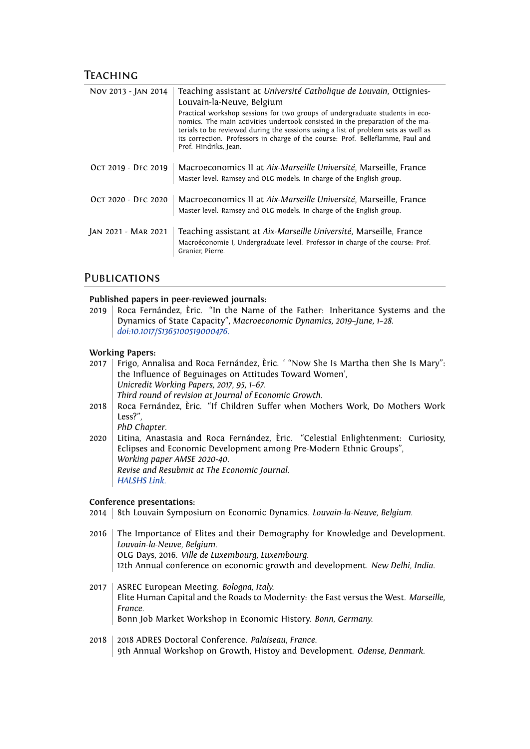## **TEACHING**

| Nov 2013 - JAN 2014 | Teaching assistant at Université Catholique de Louvain, Ottignies-<br>Louvain-la-Neuve, Belgium                                                                                                                                                                                                                                                                 |
|---------------------|-----------------------------------------------------------------------------------------------------------------------------------------------------------------------------------------------------------------------------------------------------------------------------------------------------------------------------------------------------------------|
|                     | Practical workshop sessions for two groups of undergraduate students in eco-<br>nomics. The main activities undertook consisted in the preparation of the ma-<br>terials to be reviewed during the sessions using a list of problem sets as well as<br>its correction. Professors in charge of the course: Prof. Belleflamme, Paul and<br>Prof. Hindriks, Jean. |
| OCT 2019 - DEC 2019 | Macroeconomics II at Aix-Marseille Université, Marseille, France<br>Master level. Ramsey and OLG models. In charge of the English group.                                                                                                                                                                                                                        |
| OCT 2020 - DEC 2020 | Macroeconomics II at Aix-Marseille Université, Marseille, France<br>Master level. Ramsey and OLG models. In charge of the English group.                                                                                                                                                                                                                        |
| JAN 2021 - MAR 2021 | Teaching assistant at Aix-Marseille Université, Marseille, France<br>Macroéconomie I, Undergraduate level. Professor in charge of the course: Prof.<br>Granier, Pierre.                                                                                                                                                                                         |

## **PUBLICATIONS**

#### **Published papers in peer-reviewed journals:**

2019 Roca Fernández, Èric. "In the Name of the Father: Inheritance Systems and the Dynamics of State Capacity", *Macroeconomic Dynamics, 2019–June, 1–28*. *[doi:10.1017/S1365100519000476](https://doi.org/10.1017/S1365100519000476)*.

#### **Working Papers:**

2017 | Frigo, Annalisa and Roca Fernández, Èric. ' "Now She Is Martha then She Is Mary": the Influence of Beguinages on Attitudes Toward Women', *Unicredit Working Papers, 2017, 95, 1–67*. *Third round of revision at Journal of Economic Growth.* 2018 Roca Fernández, Èric. "If Children Suffer when Mothers Work, Do Mothers Work Less?", *PhD Chapter*. 2020 Litina, Anastasia and Roca Fernández, Èric. "Celestial Enlightenment: Curiosity, Eclipses and Economic Development among Pre-Modern Ethnic Groups", *Working paper AMSE 2020-40*. *Revise and Resubmit at The Economic Journal. [HALSHS Link](https://halshs.archives-ouvertes.fr/halshs-03044843)*.

#### **Conference presentations:**

- 2014 | 8th Louvain Symposium on Economic Dynamics. *Louvain-la-Neuve, Belgium*.
- 2016 The Importance of Elites and their Demography for Knowledge and Development. *Louvain-la-Neuve, Belgium.* OLG Days, 2016. *Ville de Luxembourg, Luxembourg.* 12th Annual conference on economic growth and development. *New Delhi, India.*
- 2017 ASREC European Meeting. *Bologna, Italy.* Elite Human Capital and the Roads to Modernity: the East versus the West. *Marseille, France.* Bonn Job Market Workshop in Economic History. *Bonn, Germany.*
- 2018 2018 ADRES Doctoral Conference. *Palaiseau, France.* 9th Annual Workshop on Growth, Histoy and Development. *Odense, Denmark.*